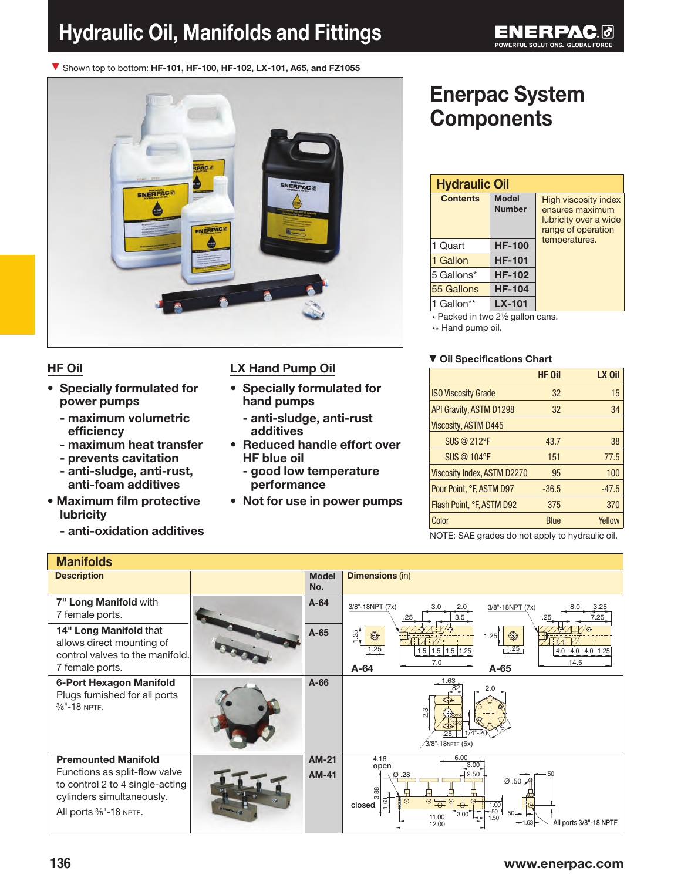# Hydraulic Oil, Manifolds and Fittings

▼ Shown top to bottom: HF-101, HF-100, HF-102, LX-101, A65, and FZ1055



### HF Oil

- Specially formulated for power pumps
	- maximum volumetric efficiency
	- maximum heat transfer
	- prevents cavitation
	- anti-sludge, anti-rust, anti-foam additives
- Maximum film protective lubricity
	- anti-oxidation additives

### LX Hand Pump Oil

- Specially formulated for hand pumps
	- anti-sludge, anti-rust additives
- Reduced handle effort over HF blue oil
	- good low temperature performance
- Not for use in power pumps

# Enerpac System **Components**

| <b>Hydraulic Oil</b> |                               |                                                                                               |  |  |
|----------------------|-------------------------------|-----------------------------------------------------------------------------------------------|--|--|
| <b>Contents</b>      | <b>Model</b><br><b>Number</b> | <b>High viscosity index</b><br>ensures maximum<br>lubricity over a wide<br>range of operation |  |  |
| 1 Quart              | <b>HF-100</b>                 | temperatures.                                                                                 |  |  |
| 1 Gallon             | <b>HF-101</b>                 |                                                                                               |  |  |
| 5 Gallons*           | <b>HF-102</b>                 |                                                                                               |  |  |
| 55 Gallons           | <b>HF-104</b>                 |                                                                                               |  |  |
| 1 Gallon**           | $LX-101$                      |                                                                                               |  |  |

\* Packed in two 2½ gallon cans.

\*\* Hand pump oil.

#### ▼ Oil Specifications Chart

|                                    | <b>HF Oil</b> | LX Oil  |
|------------------------------------|---------------|---------|
| <b>ISO Viscosity Grade</b>         | 32            | 15      |
| API Gravity, ASTM D1298            | 32            | 34      |
| <b>Viscosity, ASTM D445</b>        |               |         |
| SUS @ 212°F                        | 43.7          | 38      |
| SUS @ 104°F                        | 151           | 77.5    |
| <b>Viscosity Index, ASTM D2270</b> | 95            | 100     |
| Pour Point, °F, ASTM D97           | $-36.5$       | $-47.5$ |
| Flash Point, °F, ASTM D92          | 375           | 370     |
| Color                              | <b>Blue</b>   | Yellow  |

NOTE: SAE grades do not apply to hydraulic oil.

| <b>Manifolds</b>                                                                                                                                     |                              |                                                                                                                                                                                                                                                   |
|------------------------------------------------------------------------------------------------------------------------------------------------------|------------------------------|---------------------------------------------------------------------------------------------------------------------------------------------------------------------------------------------------------------------------------------------------|
| <b>Description</b>                                                                                                                                   | <b>Model</b><br>No.          | <b>Dimensions (in)</b>                                                                                                                                                                                                                            |
| 7" Long Manifold with<br>7 female ports.                                                                                                             | $A-64$                       | 3/8"-18NPT (7x)<br>3.0<br>2.0<br>3.25<br>$3/8" - 18NPT (7x)$<br>8.0<br>3.5<br>7.25<br>.25<br>.25                                                                                                                                                  |
| 14" Long Manifold that<br>allows direct mounting of<br>control valves to the manifold.<br>7 female ports.                                            | $A-65$                       | $\frac{125}{1}$<br>$\circledcirc$<br>1.25<br>$\circledcirc$<br>1.25<br>1.25<br>1.5 1.5 1.5 1.25<br>$4.0$ 4.0 4.0 1.25<br>7.0<br>14.5<br>$A-64$<br>$A-65$                                                                                          |
| 6-Port Hexagon Manifold<br>Plugs furnished for all ports<br>$\frac{3}{8}$ "-18 NPTF.                                                                 | $A-66$                       | 1.63<br>2.0<br>ო<br>.25<br>$\sqrt{3}/8$ "-18NPTF (6x)                                                                                                                                                                                             |
| <b>Premounted Manifold</b><br>Functions as split-flow valve<br>to control 2 to 4 single-acting<br>cylinders simultaneously.<br>All ports %"-18 NPTF. | <b>AM-21</b><br><b>AM-41</b> | 6.00<br>4.16<br>3.00<br>open<br>2.50<br>$-$ Ø.28<br>Ø.50<br>3.88<br>1.63<br>$\circ \frac{}{\bullet \bullet \circ} \circ$<br>$\odot$<br>closed<br>1.00<br>$-50$<br>$.50 -$<br>3.00<br>11.00<br>.50<br>All ports 3/8"-18 NPTF<br>$-1.63 -$<br>12.00 |

## 136 www.enerpac.com